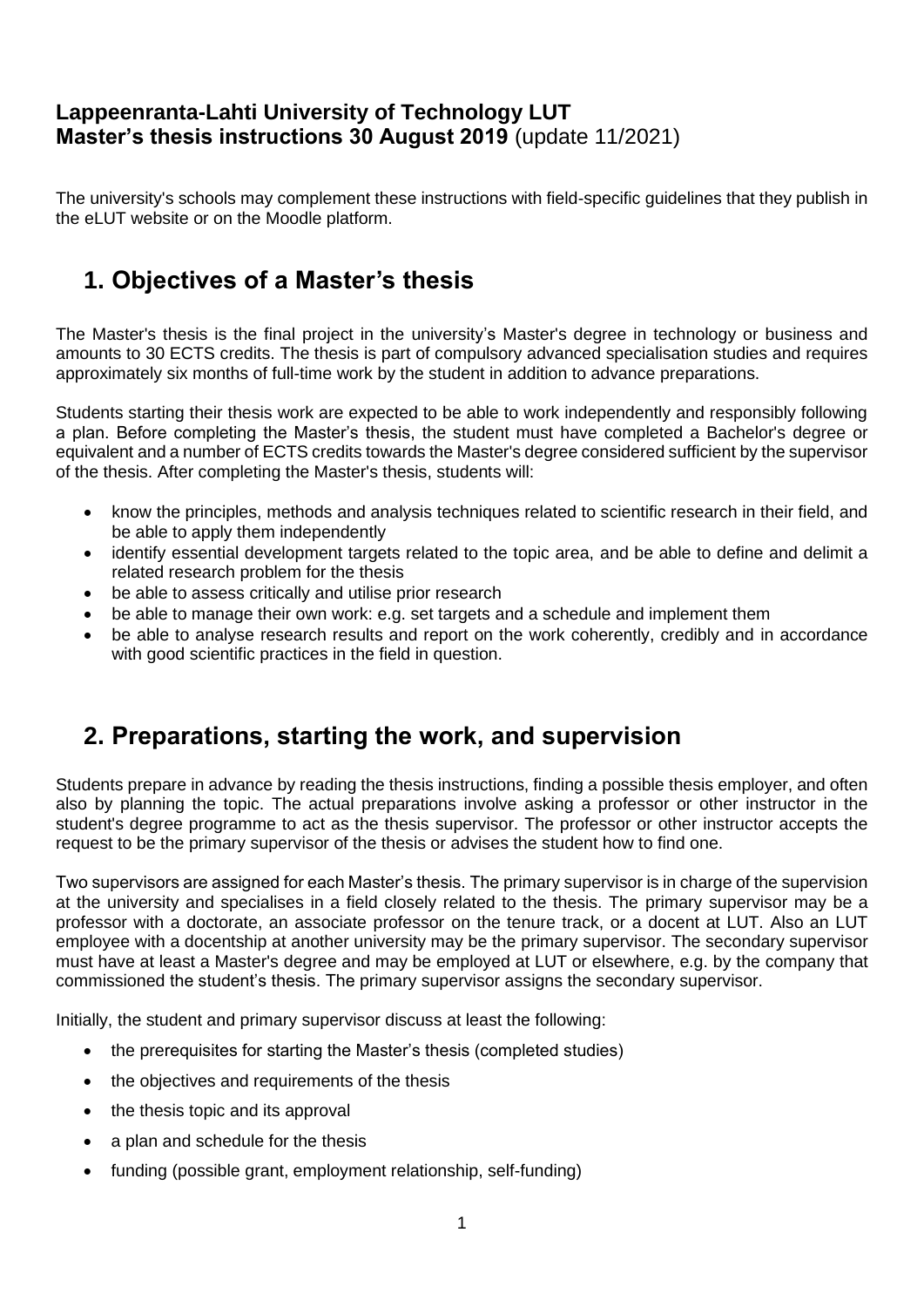### **Lappeenranta-Lahti University of Technology LUT Master's thesis instructions 30 August 2019** (update 11/2021)

The university's schools may complement these instructions with field-specific guidelines that they publish in the eLUT website or on the Moodle platform.

# **1. Objectives of a Master's thesis**

The Master's thesis is the final project in the university's Master's degree in technology or business and amounts to 30 ECTS credits. The thesis is part of compulsory advanced specialisation studies and requires approximately six months of full-time work by the student in addition to advance preparations.

Students starting their thesis work are expected to be able to work independently and responsibly following a plan. Before completing the Master's thesis, the student must have completed a Bachelor's degree or equivalent and a number of ECTS credits towards the Master's degree considered sufficient by the supervisor of the thesis. After completing the Master's thesis, students will:

- know the principles, methods and analysis techniques related to scientific research in their field, and be able to apply them independently
- identify essential development targets related to the topic area, and be able to define and delimit a related research problem for the thesis
- be able to assess critically and utilise prior research
- be able to manage their own work: e.g. set targets and a schedule and implement them
- be able to analyse research results and report on the work coherently, credibly and in accordance with good scientific practices in the field in question.

## **2. Preparations, starting the work, and supervision**

Students prepare in advance by reading the thesis instructions, finding a possible thesis employer, and often also by planning the topic. The actual preparations involve asking a professor or other instructor in the student's degree programme to act as the thesis supervisor. The professor or other instructor accepts the request to be the primary supervisor of the thesis or advises the student how to find one.

Two supervisors are assigned for each Master's thesis. The primary supervisor is in charge of the supervision at the university and specialises in a field closely related to the thesis. The primary supervisor may be a professor with a doctorate, an associate professor on the tenure track, or a docent at LUT. Also an LUT employee with a docentship at another university may be the primary supervisor. The secondary supervisor must have at least a Master's degree and may be employed at LUT or elsewhere, e.g. by the company that commissioned the student's thesis. The primary supervisor assigns the secondary supervisor.

Initially, the student and primary supervisor discuss at least the following:

- the prerequisites for starting the Master's thesis (completed studies)
- the objectives and requirements of the thesis
- the thesis topic and its approval
- a plan and schedule for the thesis
- funding (possible grant, employment relationship, self-funding)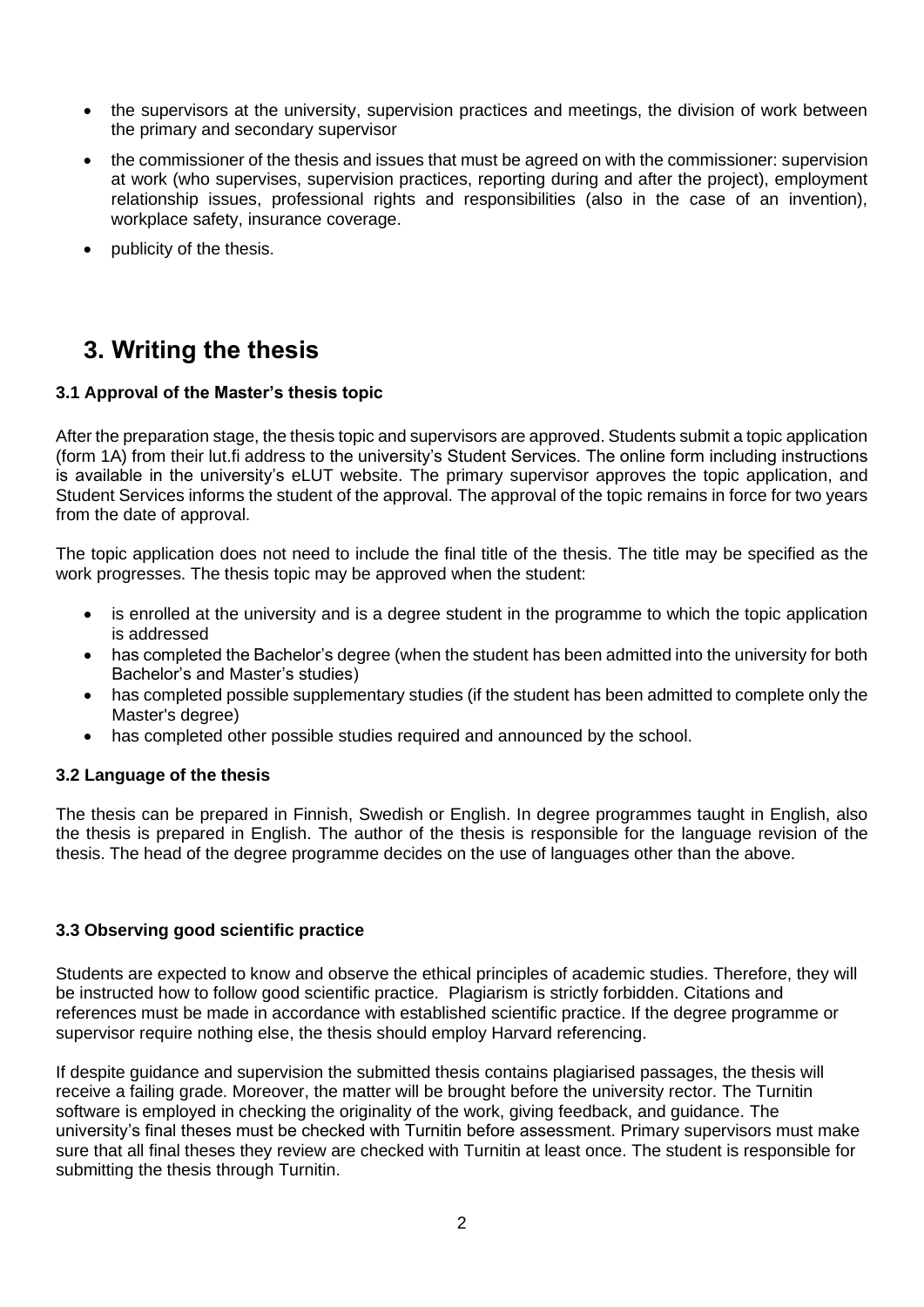- the supervisors at the university, supervision practices and meetings, the division of work between the primary and secondary supervisor
- the commissioner of the thesis and issues that must be agreed on with the commissioner: supervision at work (who supervises, supervision practices, reporting during and after the project), employment relationship issues, professional rights and responsibilities (also in the case of an invention), workplace safety, insurance coverage.
- publicity of the thesis.

## **3. Writing the thesis**

#### **3.1 Approval of the Master's thesis topic**

After the preparation stage, the thesis topic and supervisors are approved. Students submit a topic application (form 1A) from their lut.fi address to the university's Student Services. The online form including instructions is available in the university's eLUT website. The primary supervisor approves the topic application, and Student Services informs the student of the approval. The approval of the topic remains in force for two years from the date of approval.

The topic application does not need to include the final title of the thesis. The title may be specified as the work progresses. The thesis topic may be approved when the student:

- is enrolled at the university and is a degree student in the programme to which the topic application is addressed
- has completed the Bachelor's degree (when the student has been admitted into the university for both Bachelor's and Master's studies)
- has completed possible supplementary studies (if the student has been admitted to complete only the Master's degree)
- has completed other possible studies required and announced by the school.

#### **3.2 Language of the thesis**

The thesis can be prepared in Finnish, Swedish or English. In degree programmes taught in English, also the thesis is prepared in English. The author of the thesis is responsible for the language revision of the thesis. The head of the degree programme decides on the use of languages other than the above.

#### **3.3 Observing good scientific practice**

Students are expected to know and observe the ethical principles of academic studies. Therefore, they will be instructed how to follow good scientific practice. Plagiarism is strictly forbidden. Citations and references must be made in accordance with established scientific practice. If the degree programme or supervisor require nothing else, the thesis should employ Harvard referencing.

If despite guidance and supervision the submitted thesis contains plagiarised passages, the thesis will receive a failing grade. Moreover, the matter will be brought before the university rector. The Turnitin software is employed in checking the originality of the work, giving feedback, and guidance. The university's final theses must be checked with Turnitin before assessment. Primary supervisors must make sure that all final theses they review are checked with Turnitin at least once. The student is responsible for submitting the thesis through Turnitin.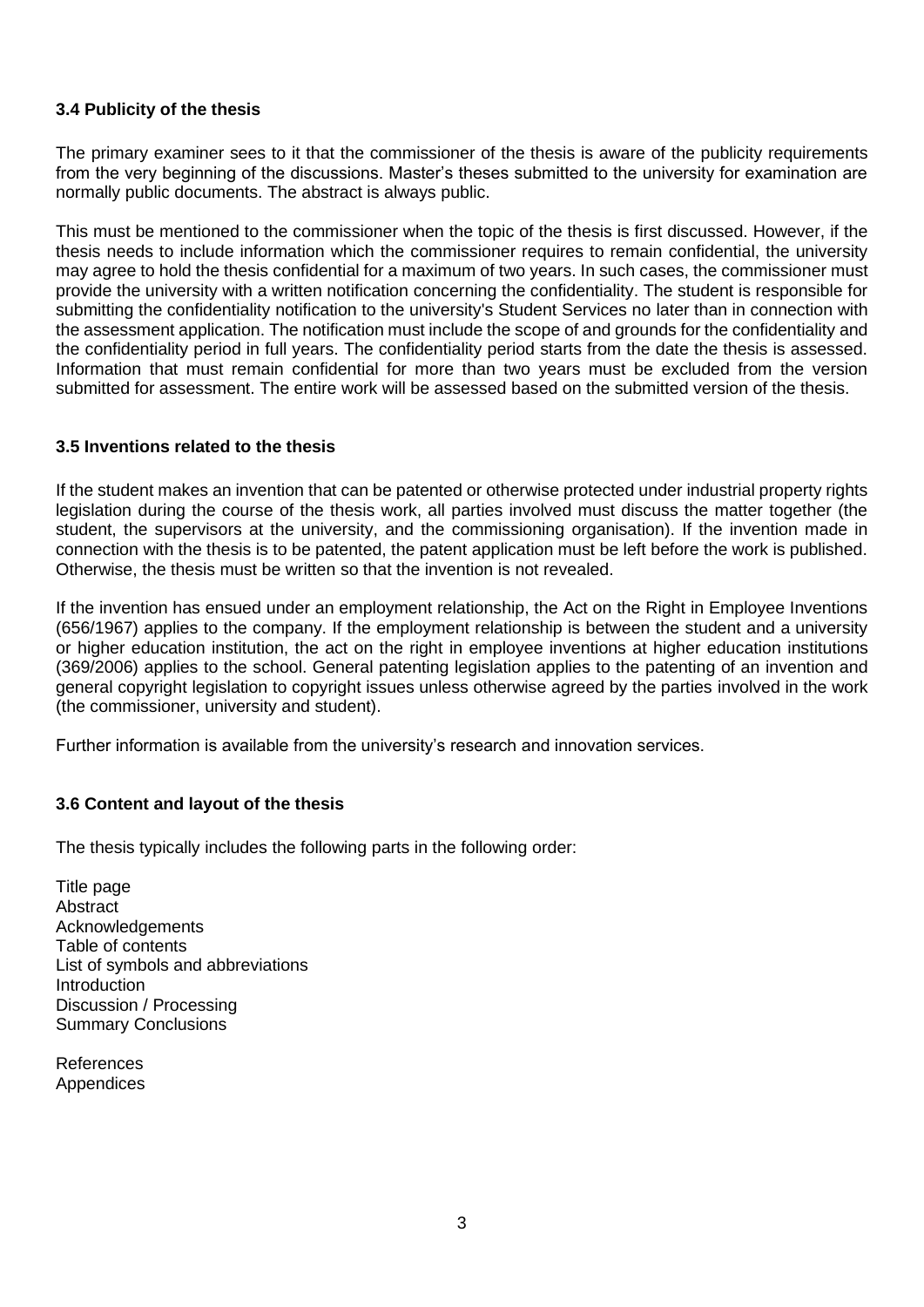#### **3.4 Publicity of the thesis**

The primary examiner sees to it that the commissioner of the thesis is aware of the publicity requirements from the very beginning of the discussions. Master's theses submitted to the university for examination are normally public documents. The abstract is always public.

This must be mentioned to the commissioner when the topic of the thesis is first discussed. However, if the thesis needs to include information which the commissioner requires to remain confidential, the university may agree to hold the thesis confidential for a maximum of two years. In such cases, the commissioner must provide the university with a written notification concerning the confidentiality. The student is responsible for submitting the confidentiality notification to the university's Student Services no later than in connection with the assessment application. The notification must include the scope of and grounds for the confidentiality and the confidentiality period in full years. The confidentiality period starts from the date the thesis is assessed. Information that must remain confidential for more than two years must be excluded from the version submitted for assessment. The entire work will be assessed based on the submitted version of the thesis.

#### **3.5 Inventions related to the thesis**

If the student makes an invention that can be patented or otherwise protected under industrial property rights legislation during the course of the thesis work, all parties involved must discuss the matter together (the student, the supervisors at the university, and the commissioning organisation). If the invention made in connection with the thesis is to be patented, the patent application must be left before the work is published. Otherwise, the thesis must be written so that the invention is not revealed.

If the invention has ensued under an employment relationship, the Act on the Right in Employee Inventions (656/1967) applies to the company. If the employment relationship is between the student and a university or higher education institution, the act on the right in employee inventions at higher education institutions (369/2006) applies to the school. General patenting legislation applies to the patenting of an invention and general copyright legislation to copyright issues unless otherwise agreed by the parties involved in the work (the commissioner, university and student).

Further information is available from the university's research and innovation services.

#### **3.6 Content and layout of the thesis**

The thesis typically includes the following parts in the following order:

Title page **Abstract** Acknowledgements Table of contents List of symbols and abbreviations **Introduction** Discussion / Processing Summary Conclusions

References Appendices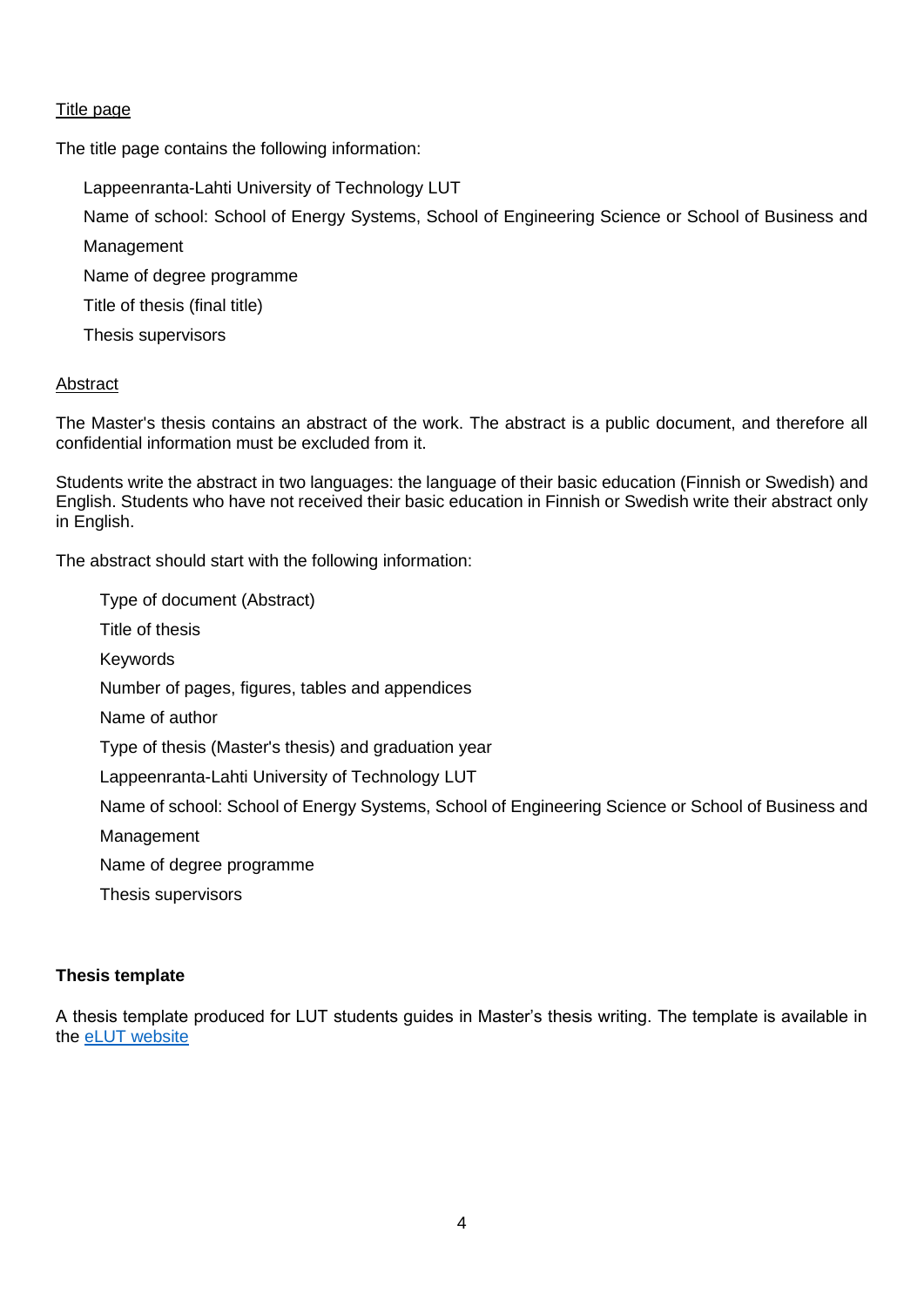#### Title page

The title page contains the following information:

Lappeenranta-Lahti University of Technology LUT

Name of school: School of Energy Systems, School of Engineering Science or School of Business and

Management

Name of degree programme

Title of thesis (final title)

Thesis supervisors

#### Abstract

The Master's thesis contains an abstract of the work. The abstract is a public document, and therefore all confidential information must be excluded from it.

Students write the abstract in two languages: the language of their basic education (Finnish or Swedish) and English. Students who have not received their basic education in Finnish or Swedish write their abstract only in English.

The abstract should start with the following information:

Type of document (Abstract) Title of thesis Keywords Number of pages, figures, tables and appendices Name of author Type of thesis (Master's thesis) and graduation year Lappeenranta-Lahti University of Technology LUT Name of school: School of Energy Systems, School of Engineering Science or School of Business and Management Name of degree programme Thesis supervisors

#### **Thesis template**

A thesis template produced for LUT students guides in Master's thesis writing. The template is available in the eLUT [website](https://production.client-fi-lab-elut.finland.wdr.io/en/completing-studies/theses/masters-thesis)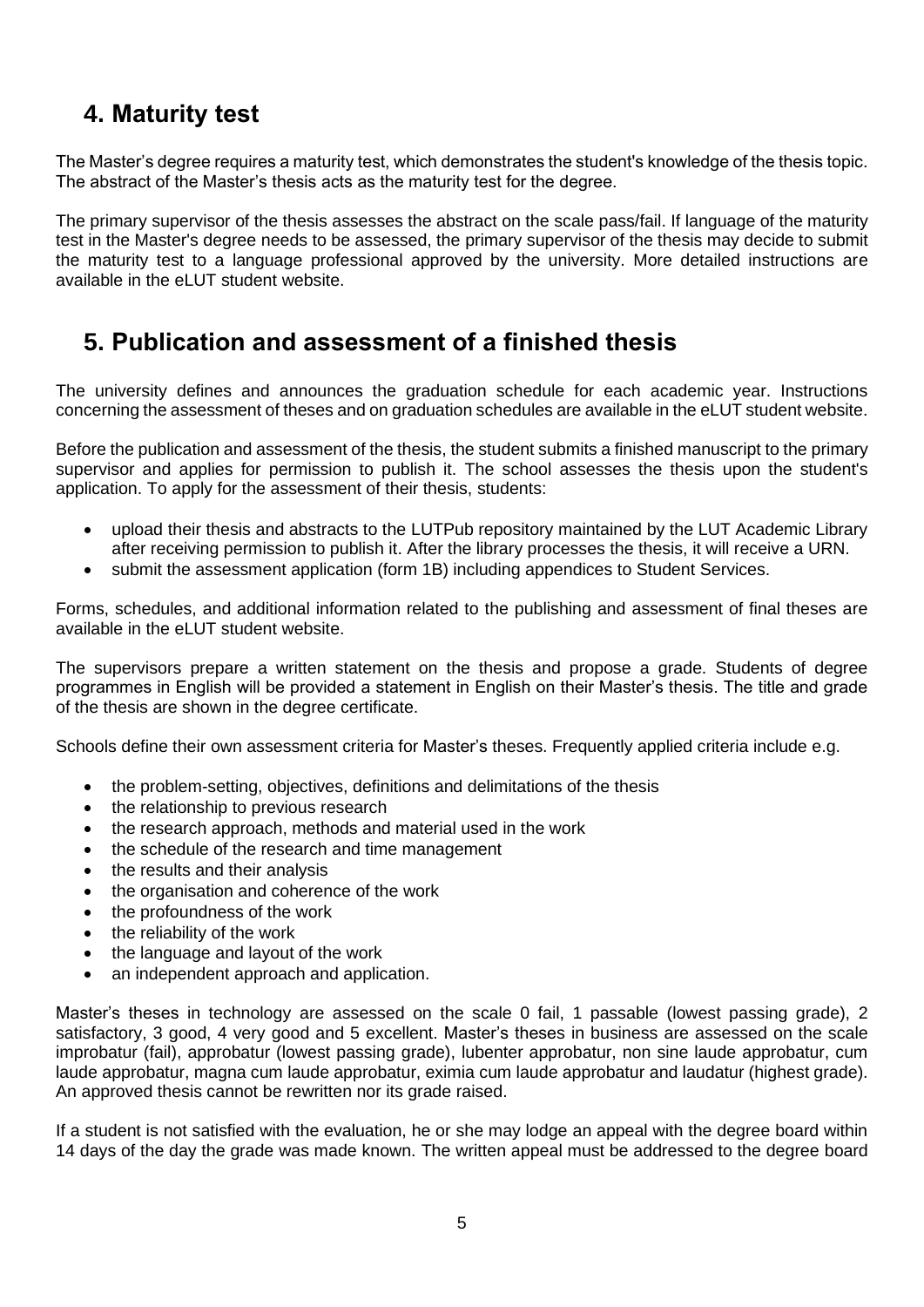# **4. Maturity test**

The Master's degree requires a maturity test, which demonstrates the student's knowledge of the thesis topic. The abstract of the Master's thesis acts as the maturity test for the degree.

The primary supervisor of the thesis assesses the abstract on the scale pass/fail. If language of the maturity test in the Master's degree needs to be assessed, the primary supervisor of the thesis may decide to submit the maturity test to a language professional approved by the university. More detailed instructions are available in the eLUT student website.

### **5. Publication and assessment of a finished thesis**

The university defines and announces the graduation schedule for each academic year. Instructions concerning the assessment of theses and on graduation schedules are available in the eLUT student website.

Before the publication and assessment of the thesis, the student submits a finished manuscript to the primary supervisor and applies for permission to publish it. The school assesses the thesis upon the student's application. To apply for the assessment of their thesis, students:

- upload their thesis and abstracts to the LUTPub repository maintained by the LUT Academic Library after receiving permission to publish it. After the library processes the thesis, it will receive a URN.
- submit the assessment application (form 1B) including appendices to Student Services.

Forms, schedules, and additional information related to the publishing and assessment of final theses are available in the eLUT student website.

The supervisors prepare a written statement on the thesis and propose a grade. Students of degree programmes in English will be provided a statement in English on their Master's thesis. The title and grade of the thesis are shown in the degree certificate.

Schools define their own assessment criteria for Master's theses. Frequently applied criteria include e.g.

- the problem-setting, objectives, definitions and delimitations of the thesis
- the relationship to previous research
- the research approach, methods and material used in the work
- the schedule of the research and time management
- the results and their analysis
- the organisation and coherence of the work
- the profoundness of the work
- the reliability of the work
- the language and layout of the work
- an independent approach and application.

Master's theses in technology are assessed on the scale 0 fail, 1 passable (lowest passing grade), 2 satisfactory, 3 good, 4 very good and 5 excellent. Master's theses in business are assessed on the scale improbatur (fail), approbatur (lowest passing grade), lubenter approbatur, non sine laude approbatur, cum laude approbatur, magna cum laude approbatur, eximia cum laude approbatur and laudatur (highest grade). An approved thesis cannot be rewritten nor its grade raised.

If a student is not satisfied with the evaluation, he or she may lodge an appeal with the degree board within 14 days of the day the grade was made known. The written appeal must be addressed to the degree board